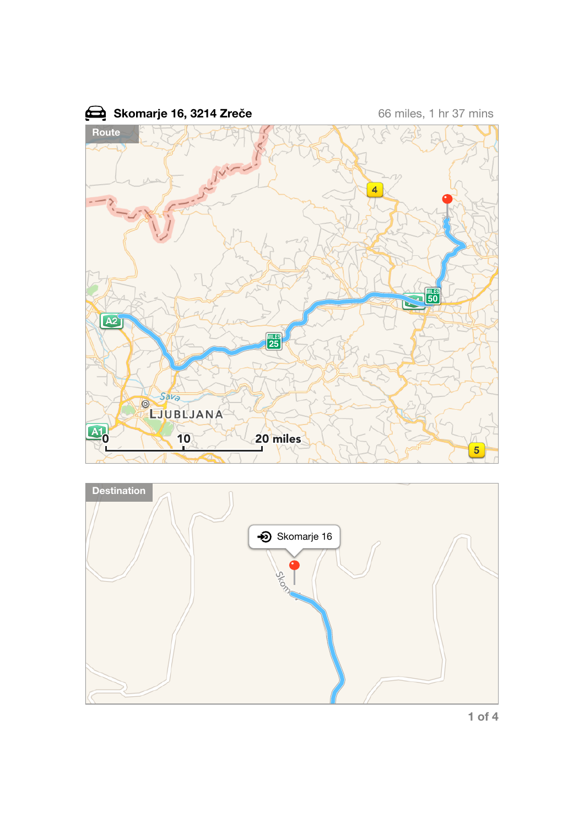



**1 of 4**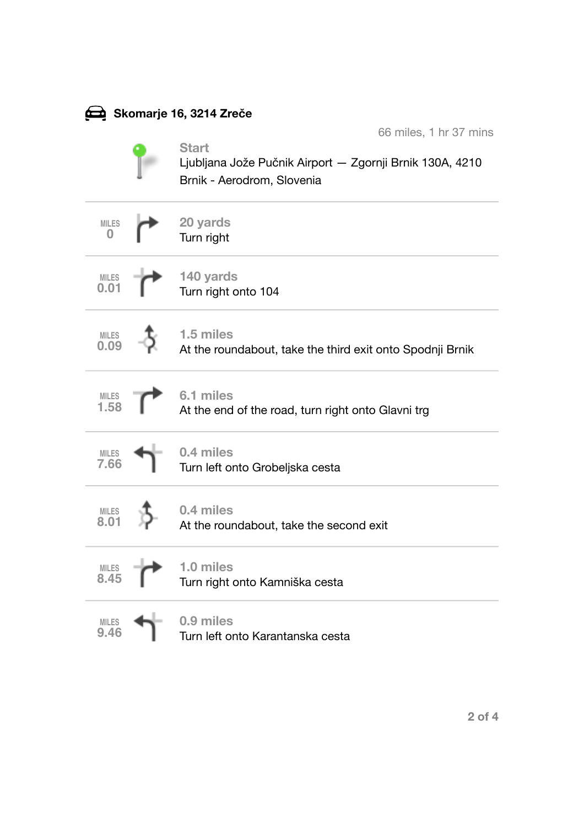| Skomarje 16, 3214 Zreče فِضْعَ |  |                                                                                                                                  |  |  |  |
|--------------------------------|--|----------------------------------------------------------------------------------------------------------------------------------|--|--|--|
|                                |  | 66 miles, 1 hr 37 mins<br><b>Start</b><br>Ljubljana Jože Pučnik Airport — Zgornji Brnik 130A, 4210<br>Brnik - Aerodrom, Slovenia |  |  |  |
| <b>MILES</b><br>0              |  | 20 yards<br>Turn right                                                                                                           |  |  |  |
| $MILES$<br>0.01                |  | 140 yards<br>Turn right onto 104                                                                                                 |  |  |  |
| <b>MILES</b><br>0.09           |  | 1.5 miles<br>At the roundabout, take the third exit onto Spodnji Brnik                                                           |  |  |  |
| <b>MILES</b><br>1.58           |  | 6.1 miles<br>At the end of the road, turn right onto Glavni trg                                                                  |  |  |  |
| <b>MILES</b><br>7.66           |  | 0.4 miles<br>Turn left onto Grobeljska cesta                                                                                     |  |  |  |
| <b>MILES</b>                   |  | 0.4 miles<br>At the roundabout, take the second exit                                                                             |  |  |  |
| <b>MILES</b><br>8.45           |  | 1.0 miles<br>Turn right onto Kamniška cesta                                                                                      |  |  |  |
| <b>MILES</b><br>9.46           |  | 0.9 miles<br>Turn left onto Karantanska cesta                                                                                    |  |  |  |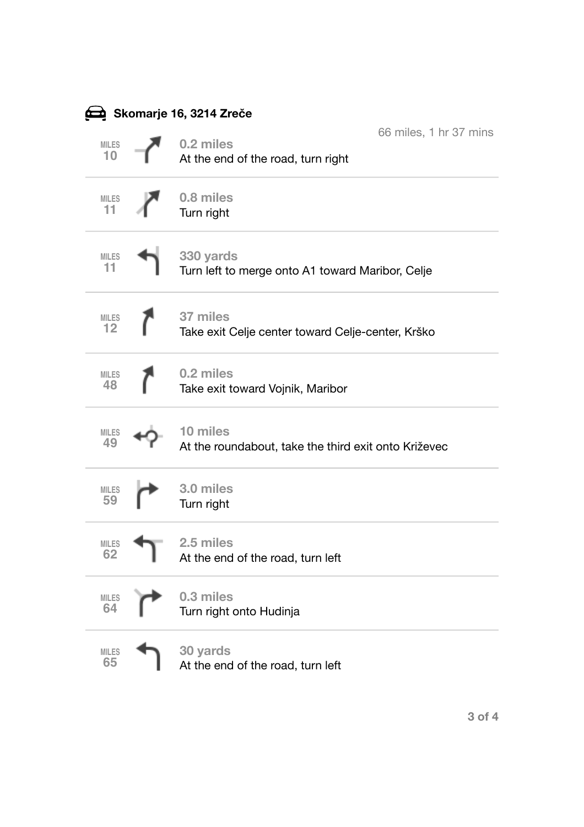| Skomarje 16, 3214 Zreče فِضْعَ |  |                                                                  |                        |  |  |
|--------------------------------|--|------------------------------------------------------------------|------------------------|--|--|
| MILES<br>10                    |  | 0.2 miles<br>At the end of the road, turn right                  | 66 miles, 1 hr 37 mins |  |  |
| <b>MILES</b><br>11             |  | 0.8 miles<br>Turn right                                          |                        |  |  |
| <b>MILES</b><br>11             |  | 330 yards<br>Turn left to merge onto A1 toward Maribor, Celje    |                        |  |  |
| <b>MILES</b><br>12             |  | 37 miles<br>Take exit Celje center toward Celje-center, Krško    |                        |  |  |
| <b>MILES</b><br>48             |  | 0.2 miles<br>Take exit toward Vojnik, Maribor                    |                        |  |  |
| <b>MILES</b><br>49             |  | 10 miles<br>At the roundabout, take the third exit onto Križevec |                        |  |  |
| <b>MILES</b><br>59             |  | 3.0 miles<br>Turn right                                          |                        |  |  |
| <b>MILES</b><br>62             |  | 2.5 miles<br>At the end of the road, turn left                   |                        |  |  |
| <b>MILES</b><br>64             |  | 0.3 miles<br>Turn right onto Hudinja                             |                        |  |  |
| <b>MILES</b><br>65             |  | 30 yards<br>At the end of the road, turn left                    |                        |  |  |